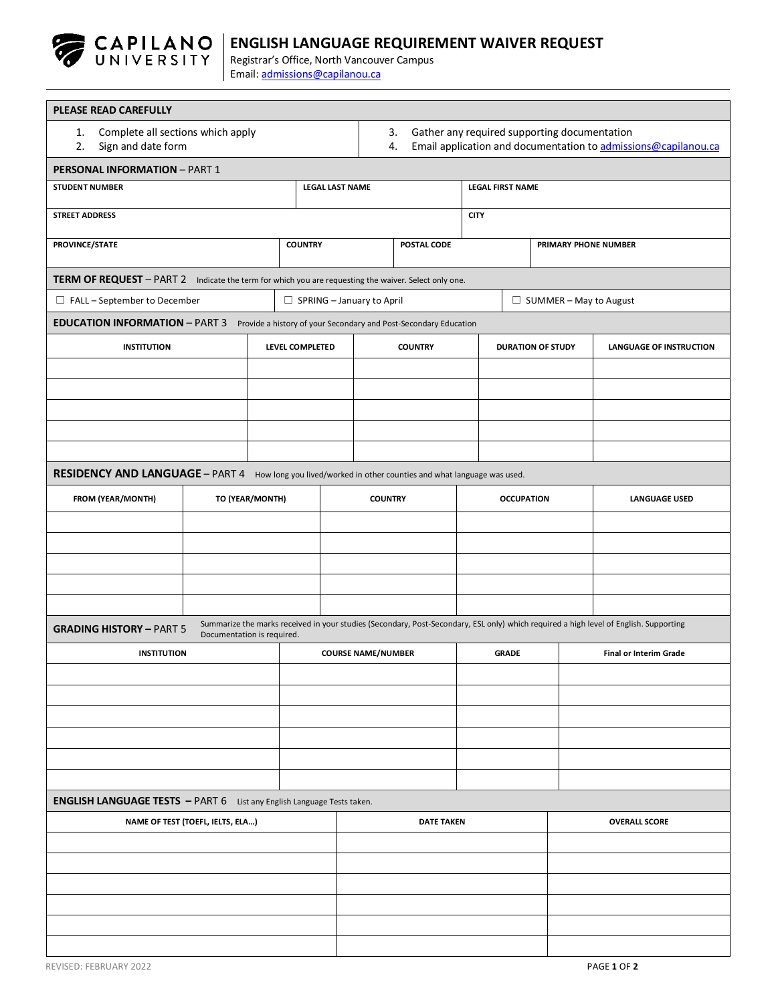

## **ENGLISH LANGUAGE REQUIREMENT WAIVER REQUEST**

Registrar's Office, North Vancouver Campus Email[: admissions@capilanou.ca](mailto:admissions@capilanou.ca)

| PLEASE READ CAREFULLY                                                                                   |                        |                                  |                                                                                                                            |                          |                               |                                                                                                                                       |  |  |
|---------------------------------------------------------------------------------------------------------|------------------------|----------------------------------|----------------------------------------------------------------------------------------------------------------------------|--------------------------|-------------------------------|---------------------------------------------------------------------------------------------------------------------------------------|--|--|
| Complete all sections which apply<br>1.<br>Sign and date form<br>2.                                     |                        |                                  | Gather any required supporting documentation<br>3.<br>Email application and documentation to admissions@capilanou.ca<br>4. |                          |                               |                                                                                                                                       |  |  |
| <b>PERSONAL INFORMATION - PART 1</b>                                                                    |                        |                                  |                                                                                                                            |                          |                               |                                                                                                                                       |  |  |
| <b>STUDENT NUMBER</b>                                                                                   | <b>LEGAL LAST NAME</b> |                                  | <b>LEGAL FIRST NAME</b>                                                                                                    |                          |                               |                                                                                                                                       |  |  |
| <b>STREET ADDRESS</b>                                                                                   |                        | <b>CITY</b>                      |                                                                                                                            |                          |                               |                                                                                                                                       |  |  |
| PROVINCE/STATE                                                                                          |                        | <b>COUNTRY</b>                   |                                                                                                                            | PRIMARY PHONE NUMBER     |                               |                                                                                                                                       |  |  |
| TERM OF REQUEST - PART 2 Indicate the term for which you are requesting the waiver. Select only one.    |                        |                                  |                                                                                                                            |                          |                               |                                                                                                                                       |  |  |
| $\Box$ FALL – September to December                                                                     |                        | $\Box$ SPRING - January to April |                                                                                                                            |                          | $\Box$ SUMMER – May to August |                                                                                                                                       |  |  |
| EDUCATION INFORMATION - PART 3 Provide a history of your Secondary and Post-Secondary Education         |                        |                                  |                                                                                                                            |                          |                               |                                                                                                                                       |  |  |
| <b>INSTITUTION</b>                                                                                      | LEVEL COMPLETED        |                                  | <b>COUNTRY</b>                                                                                                             | <b>DURATION OF STUDY</b> |                               | <b>LANGUAGE OF INSTRUCTION</b>                                                                                                        |  |  |
|                                                                                                         |                        |                                  |                                                                                                                            |                          |                               |                                                                                                                                       |  |  |
|                                                                                                         |                        |                                  |                                                                                                                            |                          |                               |                                                                                                                                       |  |  |
|                                                                                                         |                        |                                  |                                                                                                                            |                          |                               |                                                                                                                                       |  |  |
|                                                                                                         |                        |                                  |                                                                                                                            |                          |                               |                                                                                                                                       |  |  |
|                                                                                                         |                        |                                  |                                                                                                                            |                          |                               |                                                                                                                                       |  |  |
| RESIDENCY AND LANGUAGE - PART 4 How long you lived/worked in other counties and what language was used. |                        |                                  |                                                                                                                            |                          |                               |                                                                                                                                       |  |  |
| FROM (YEAR/MONTH)                                                                                       | TO (YEAR/MONTH)        |                                  | <b>COUNTRY</b>                                                                                                             |                          | <b>OCCUPATION</b>             | <b>LANGUAGE USED</b>                                                                                                                  |  |  |
|                                                                                                         |                        |                                  |                                                                                                                            |                          |                               |                                                                                                                                       |  |  |
|                                                                                                         |                        |                                  |                                                                                                                            |                          |                               |                                                                                                                                       |  |  |
|                                                                                                         |                        |                                  |                                                                                                                            |                          |                               |                                                                                                                                       |  |  |
|                                                                                                         |                        |                                  |                                                                                                                            |                          |                               |                                                                                                                                       |  |  |
|                                                                                                         |                        |                                  |                                                                                                                            |                          |                               | Summarize the marks received in your studies (Secondary, Post-Secondary, ESL only) which required a high level of English. Supporting |  |  |
| <b>GRADING HISTORY - PART 5</b><br>Documentation is required.                                           |                        |                                  |                                                                                                                            |                          |                               |                                                                                                                                       |  |  |
| <b>INSTITUTION</b>                                                                                      |                        | <b>COURSE NAME/NUMBER</b>        |                                                                                                                            | <b>GRADE</b>             |                               | <b>Final or Interim Grade</b>                                                                                                         |  |  |
|                                                                                                         |                        |                                  |                                                                                                                            |                          |                               |                                                                                                                                       |  |  |
|                                                                                                         |                        |                                  |                                                                                                                            |                          |                               |                                                                                                                                       |  |  |
|                                                                                                         |                        |                                  |                                                                                                                            |                          |                               |                                                                                                                                       |  |  |
|                                                                                                         |                        |                                  |                                                                                                                            |                          |                               |                                                                                                                                       |  |  |
|                                                                                                         |                        |                                  |                                                                                                                            |                          |                               |                                                                                                                                       |  |  |
| <b>ENGLISH LANGUAGE TESTS</b> - PART 6 List any English Language Tests taken.                           |                        |                                  |                                                                                                                            |                          |                               |                                                                                                                                       |  |  |
| NAME OF TEST (TOEFL, IELTS, ELA)                                                                        |                        |                                  | <b>DATE TAKEN</b>                                                                                                          |                          |                               | <b>OVERALL SCORE</b>                                                                                                                  |  |  |
|                                                                                                         |                        |                                  |                                                                                                                            |                          |                               |                                                                                                                                       |  |  |
|                                                                                                         |                        |                                  |                                                                                                                            |                          |                               |                                                                                                                                       |  |  |
|                                                                                                         |                        |                                  |                                                                                                                            |                          |                               |                                                                                                                                       |  |  |
|                                                                                                         |                        |                                  |                                                                                                                            |                          |                               |                                                                                                                                       |  |  |
|                                                                                                         |                        |                                  |                                                                                                                            |                          |                               |                                                                                                                                       |  |  |